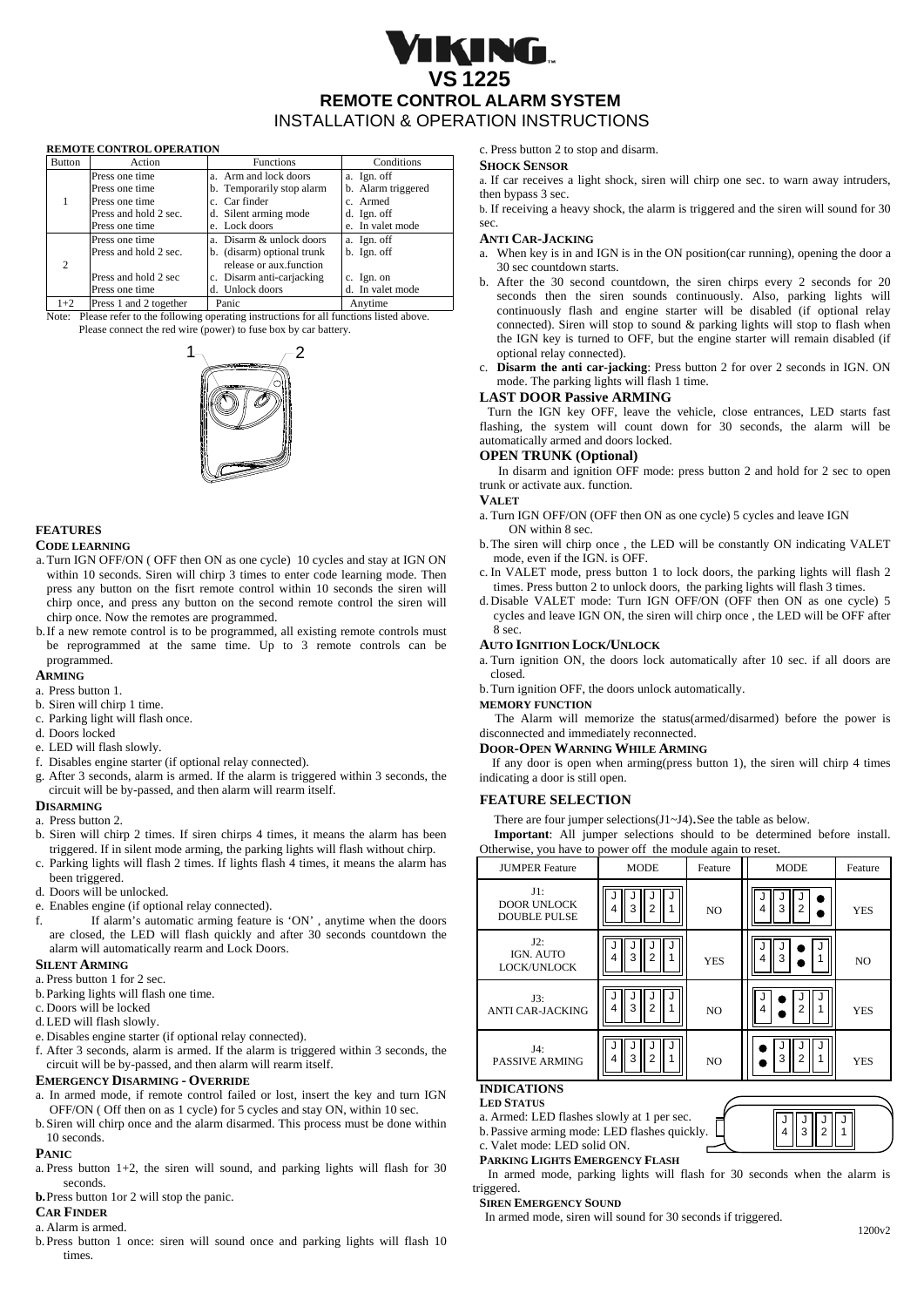# IKING. **VS 1225 REMOTE CONTROL ALARM SYSTEM**  INSTALLATION & OPERATION INSTRUCTIONS

## **REMOTE CONTROL OPERATION**

| <b>Button</b> | Action                 | <b>Functions</b>           | Conditions         |
|---------------|------------------------|----------------------------|--------------------|
|               | Press one time         | a. Arm and lock doors      | a. Ign. off        |
|               | Press one time         | b. Temporarily stop alarm  | b. Alarm triggered |
|               | Press one time         | c. Car finder              | c. Armed           |
|               | Press and hold 2 sec.  | d. Silent arming mode      | d. Ign. off        |
|               | Press one time         | e. Lock doors              | e. In valet mode   |
|               | Press one time         | a. Disarm & unlock doors   | a. Ign. off        |
| 2             | Press and hold 2 sec.  | b. (disarm) optional trunk | b. Ign. off        |
|               |                        | release or aux.function    |                    |
|               | Press and hold 2 sec   | c. Disarm anti-cariacking  | c. Ign. on         |
|               | Press one time         | d. Unlock doors            | d. In valet mode   |
| $1+2$         | Press 1 and 2 together | Panic                      | Anvtime            |

Note: Please refer to the following operating instructions for all functions listed above. Please connect the red wire (power) to fuse box by car battery.



## **FEATURES**

#### **CODE LEARNING**

- a. Turn IGN OFF/ON ( OFF then ON as one cycle) 10 cycles and stay at IGN ON within 10 seconds. Siren will chirp 3 times to enter code learning mode. Then press any button on the fisrt remote control within 10 seconds the siren will chirp once, and press any button on the second remote control the siren will chirp once. Now the remotes are programmed.
- b.If a new remote control is to be programmed, all existing remote controls must be reprogrammed at the same time. Up to 3 remote controls can be programmed.

## **ARMING**

- a. Press button 1.
- b. Siren will chirp 1 time.
- c. Parking light will flash once.
- d. Doors locked
- e. LED will flash slowly.
- f. Disables engine starter (if optional relay connected).
- g. After 3 seconds, alarm is armed. If the alarm is triggered within 3 seconds, the circuit will be by-passed, and then alarm will rearm itself.

#### **DISARMING**

- a. Press button 2.
- b. Siren will chirp 2 times. If siren chirps 4 times, it means the alarm has been triggered. If in silent mode arming, the parking lights will flash without chirp. c. Parking lights will flash 2 times. If lights flash 4 times, it means the alarm has
- been triggered.
- d. Doors will be unlocked.
- e. Enables engine (if optional relay connected).
- f. If alarm's automatic arming feature is 'ON' , anytime when the doors are closed, the LED will flash quickly and after 30 seconds countdown the alarm will automatically rearm and Lock Doors.

#### **SILENT ARMING**

- a. Press button 1 for 2 sec.
- b.Parking lights will flash one time.
- c. Doors will be locked
- d.LED will flash slowly.
- e. Disables engine starter (if optional relay connected).
- f. After 3 seconds, alarm is armed. If the alarm is triggered within 3 seconds, the circuit will be by-passed, and then alarm will rearm itself.

## **EMERGENCY DISARMING - OVERRIDE**

- a. In armed mode, if remote control failed or lost, insert the key and turn IGN OFF/ON ( Off then on as 1 cycle) for 5 cycles and stay ON, within 10 sec.
- b.Siren will chirp once and the alarm disarmed. This process must be done within 10 seconds.

## **PANIC**

- a. Press button 1+2, the siren will sound, and parking lights will flash for 30 seconds.
- **b.**Press button 1or 2 will stop the panic.

#### **CAR FINDER**

- a. Alarm is armed.
- b.Press button 1 once: siren will sound once and parking lights will flash 10 times.

c. Press button 2 to stop and disarm.

## **SHOCK SENSOR**

a. If car receives a light shock, siren will chirp one sec. to warn away intruders, then bypass 3 sec.

b. If receiving a heavy shock, the alarm is triggered and the siren will sound for 30 sec.

#### **ANTI CAR-JACKING**

- a. When key is in and IGN is in the ON position(car running), opening the door a 30 sec countdown starts.
- b. After the 30 second countdown, the siren chirps every 2 seconds for 20 seconds then the siren sounds continuously. Also, parking lights will continuously flash and engine starter will be disabled (if optional relay connected). Siren will stop to sound & parking lights will stop to flash when the IGN key is turned to OFF, but the engine starter will remain disabled (if 2 optional relay connected).
	- c. **Disarm the anti car-jacking**: Press button 2 for over 2 seconds in IGN. ON mode. The parking lights will flash 1 time.

## **LAST DOOR Passive ARMING**

Turn the IGN key OFF, leave the vehicle, close entrances, LED starts fast flashing, the system will count down for 30 seconds, the alarm will be automatically armed and doors locked.

## **OPEN TRUNK (Optional)**

 In disarm and ignition OFF mode: press button 2 and hold for 2 sec to open trunk or activate aux. function.

## **VALET**

- a. Turn IGN OFF/ON (OFF then ON as one cycle) 5 cycles and leave IGN
- ON within 8 sec. b.The siren will chirp once , the LED will be constantly ON indicating VALET mode, even if the IGN. is OFF.
- c. In VALET mode, press button 1 to lock doors, the parking lights will flash 2 times. Press button 2 to unlock doors, the parking lights will flash 3 times.
- d.Disable VALET mode: Turn IGN OFF/ON (OFF then ON as one cycle) 5 cycles and leave IGN ON, the siren will chirp once , the LED will be OFF after 8 sec.

#### **AUTO IGNITION LOCK/UNLOCK**

a. Turn ignition ON, the doors lock automatically after 10 sec. if all doors are closed.

b.Turn ignition OFF, the doors unlock automatically.

**MEMORY FUNCTION**

 The Alarm will memorize the status(armed/disarmed) before the power is disconnected and immediately reconnected.

#### **DOOR-OPEN WARNING WHILE ARMING**

If any door is open when arming(press button 1), the siren will chirp 4 times indicating a door is still open.

#### **FEATURE SELECTION**

There are four jumper selections(J1~J4).See the table as below.

**Important**: All jumper selections should to be determined before install. Otherwise, you have to power off the module again to reset.

| <b>JUMPER Feature</b>                               | <b>MODE</b>              | Feature        | <b>MODE</b> | Feature        |  |
|-----------------------------------------------------|--------------------------|----------------|-------------|----------------|--|
| $J1$ :<br><b>DOOR UNLOCK</b><br><b>DOUBLE PULSE</b> | 3<br>2                   | N <sub>O</sub> | 3<br>4      | <b>YES</b>     |  |
| J2:<br>IGN. AUTO<br>LOCK/UNLOCK                     | 3<br>2<br>4              | <b>YES</b>     | 3<br>4      | N <sub>O</sub> |  |
| J3:<br><b>ANTI CAR-JACKING</b>                      | 3<br>$\overline{2}$<br>4 | N <sub>O</sub> | 4           | <b>YES</b>     |  |
| J4:<br><b>PASSIVE ARMING</b>                        | 3<br>$\mathfrak{p}$<br>4 | N <sub>O</sub> | 3           | <b>YES</b>     |  |
| <b>INDICATIONS</b>                                  |                          |                |             |                |  |

## **LED STATUS**

- a. Armed: LED flashes slowly at 1 per sec.
- b.Passive arming mode: LED flashes quickly.

c. Valet mode: LED solid ON. **PARKING LIGHTS EMERGENCY FLASH**

 In armed mode, parking lights will flash for 30 seconds when the alarm is triggered.

#### **SIREN EMERGENCY SOUND**

In armed mode, siren will sound for 30 seconds if triggered.

J 4 J 3 J 2 J 1